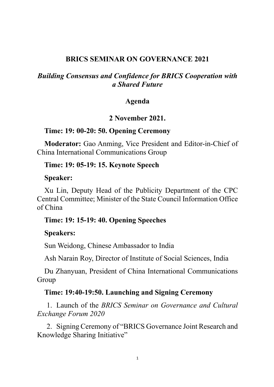# **BRICS SEMINAR ON GOVERNANCE 2021**

# *Building Consensus and Confidence for BRICS Cooperation with a Shared Future*

# **Agenda**

# **2 November 2021.**

# **Time: 19: 00-20: 50. Opening Ceremony**

**Moderator:** Gao Anming, Vice President and Editor-in-Chief of China International Communications Group

## **Time: 19: 05-19: 15. Keynote Speech**

#### **Speaker:**

Xu Lin, Deputy Head of the Publicity Department of the CPC Central Committee; Minister of the State Council Information Office of China

# **Time: 19: 15-19: 40. Opening Speeches**

#### **Speakers:**

Sun Weidong, Chinese Ambassador to India

Ash Narain Roy, Director of Institute of Social Sciences, India

Du Zhanyuan, President of China International Communications Group

#### **Time: 19:40-19:50. Launching and Signing Ceremony**

1. Launch of the *BRICS Seminar on Governance and Cultural Exchange Forum 2020*

2. Signing Ceremony of "BRICS Governance Joint Research and Knowledge Sharing Initiative"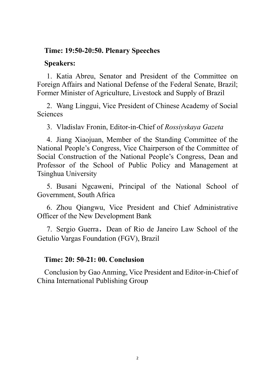# **Time: 19:50-20:50. Plenary Speeches**

# **Speakers:**

1. Katia Abreu, Senator and President of the Committee on Foreign Affairs and National Defense of the Federal Senate, Brazil; Former Minister of Agriculture, Livestock and Supply of Brazil

2. Wang Linggui, Vice President of Chinese Academy of Social Sciences

3. Vladislav Fronin, Editor-in-Chief of *Rossiyskaya Gazeta*

4. Jiang Xiaojuan, Member of the Standing Committee of the National People's Congress, Vice Chairperson of the Committee of Social Construction of the National People's Congress, Dean and Professor of the School of Public Policy and Management at Tsinghua University

5. Busani Ngcaweni, Principal of the National School of Government, South Africa

6. Zhou Qiangwu, Vice President and Chief Administrative Officer of the New Development Bank

7. Sergio Guerra, Dean of Rio de Janeiro Law School of the Getulio Vargas Foundation (FGV), Brazil

# **Time: 20: 50-21: 00. Conclusion**

Conclusion by Gao Anming, Vice President and Editor-in-Chief of China International Publishing Group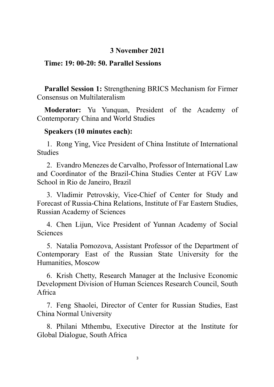# **3 November 2021**

# **Time: 19: 00-20: 50. Parallel Sessions**

**Parallel Session 1:** Strengthening BRICS Mechanism for Firmer Consensus on Multilateralism

**Moderator:** Yu Yunquan, President of the Academy of Contemporary China and World Studies

#### **Speakers (10 minutes each):**

1. Rong Ying, Vice President of China Institute of International Studies

2. Evandro Menezes de Carvalho, Professor of International Law and Coordinator of the Brazil-China Studies Center at FGV Law School in Rio de Janeiro, Brazil

3. Vladimir Petrovskiy, Vice-Chief of Center for Study and Forecast of Russia-China Relations, Institute of Far Eastern Studies, Russian Academy of Sciences

4. Chen Lijun, Vice President of Yunnan Academy of Social Sciences

5. Natalia Pomozova, Assistant Professor of the Department of Contemporary East of the Russian State University for the Humanities, Moscow

6. Krish Chetty, Research Manager at the Inclusive Economic Development Division of Human Sciences Research Council, South Africa

7. Feng Shaolei, Director of Center for Russian Studies, East China Normal University

8. Philani Mthembu, Executive Director at the Institute for Global Dialogue, South Africa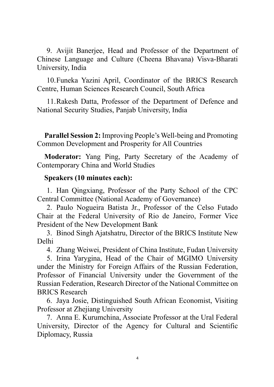9. Avijit Banerjee, Head and Professor of the Department of Chinese Language and Culture (Cheena Bhavana) Visva-Bharati University, India

10.Funeka Yazini April, Coordinator of the BRICS Research Centre, Human Sciences Research Council, South Africa

11.Rakesh Datta, Professor of the Department of Defence and National Security Studies, Panjab University, India

**Parallel Session 2:** Improving People's Well-being and Promoting Common Development and Prosperity for All Countries

**Moderator:** Yang Ping, Party Secretary of the Academy of Contemporary China and World Studies

# **Speakers (10 minutes each):**

1. Han Qingxiang, Professor of the Party School of the CPC Central Committee (National Academy of Governance)

2. Paulo Nogueira Batista Jr., Professor of the Celso Futado Chair at the Federal University of Rio de Janeiro, Former Vice President of the New Development Bank

3. Binod Singh Ajatshatru, Director of the BRICS Institute New Delhi

4. Zhang Weiwei, President of China Institute, Fudan University

5. Irina Yarygina, Head of the Chair of MGIMO University under the Ministry for Foreign Affairs of the Russian Federation, Professor of Financial University under the Government of the Russian Federation, Research Director of the National Committee on BRICS Research

6. Jaya Josie, Distinguished South African Economist, Visiting Professor at Zhejiang University

7. Anna E. Kurumchina, Associate Professor at the Ural Federal University, Director of the Agency for Cultural and Scientific Diplomacy, Russia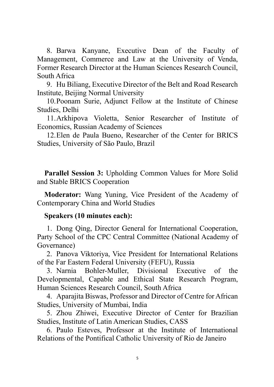8. Barwa Kanyane, Executive Dean of the Faculty of Management, Commerce and Law at the University of Venda, Former Research Director at the Human Sciences Research Council, South Africa

9. Hu Biliang, Executive Director of the Belt and Road Research Institute, Beijing Normal University

10.Poonam Surie, Adjunct Fellow at the Institute of Chinese Studies, Delhi

11.Arkhipova Violetta, Senior Researcher of Institute of Economics, Russian Academy of Sciences

12.Elen de Paula Bueno, Researcher of the Center for BRICS Studies, University of São Paulo, Brazil

**Parallel Session 3:** Upholding Common Values for More Solid and Stable BRICS Cooperation

**Moderator:** Wang Yuning, Vice President of the Academy of Contemporary China and World Studies

# **Speakers (10 minutes each):**

1. Dong Qing, Director General for International Cooperation, Party School of the CPC Central Committee (National Academy of Governance)

2. Panova Viktoriya, Vice President for International Relations of the Far Eastern Federal University (FEFU), Russia

3. Narnia Bohler-Muller, Divisional Executive of the Developmental, Capable and Ethical State Research Program, Human Sciences Research Council, South Africa

4. Aparajita Biswas, Professor and Director of Centre for African Studies, University of Mumbai, India

5. Zhou Zhiwei, Executive Director of Center for Brazilian Studies, Institute of Latin American Studies, CASS

6. Paulo Esteves, Professor at the Institute of International Relations of the Pontifical Catholic University of Rio de Janeiro